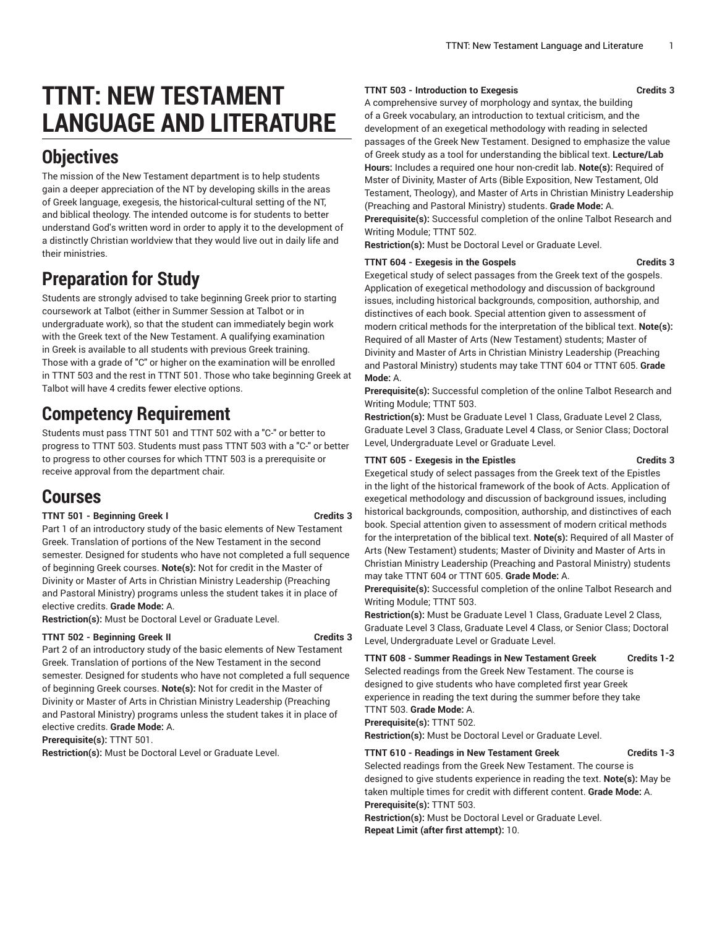# **TTNT: NEW TESTAMENT LANGUAGE AND LITERATURE**

## **Objectives**

The mission of the New Testament department is to help students gain a deeper appreciation of the NT by developing skills in the areas of Greek language, exegesis, the historical-cultural setting of the NT, and biblical theology. The intended outcome is for students to better understand God's written word in order to apply it to the development of a distinctly Christian worldview that they would live out in daily life and their ministries.

## **Preparation for Study**

Students are strongly advised to take beginning Greek prior to starting coursework at Talbot (either in Summer Session at Talbot or in undergraduate work), so that the student can immediately begin work with the Greek text of the New Testament. A qualifying examination in Greek is available to all students with previous Greek training. Those with a grade of "C" or higher on the examination will be enrolled in TTNT 503 and the rest in TTNT 501. Those who take beginning Greek at Talbot will have 4 credits fewer elective options.

## **Competency Requirement**

Students must pass TTNT 501 and TTNT 502 with a "C-" or better to progress to TTNT 503. Students must pass TTNT 503 with a "C-" or better to progress to other courses for which TTNT 503 is a prerequisite or receive approval from the department chair.

### **Courses**

### **TTNT 501 - Beginning Greek I Credits 3**

Part 1 of an introductory study of the basic elements of New Testament Greek. Translation of portions of the New Testament in the second semester. Designed for students who have not completed a full sequence of beginning Greek courses. **Note(s):** Not for credit in the Master of Divinity or Master of Arts in Christian Ministry Leadership (Preaching and Pastoral Ministry) programs unless the student takes it in place of elective credits. **Grade Mode:** A.

**Restriction(s):** Must be Doctoral Level or Graduate Level.

### **TTNT 502 - Beginning Greek II Credits 3**

Part 2 of an introductory study of the basic elements of New Testament Greek. Translation of portions of the New Testament in the second semester. Designed for students who have not completed a full sequence of beginning Greek courses. **Note(s):** Not for credit in the Master of Divinity or Master of Arts in Christian Ministry Leadership (Preaching and Pastoral Ministry) programs unless the student takes it in place of elective credits. **Grade Mode:** A.

**Prerequisite(s):** TTNT 501.

**Restriction(s):** Must be Doctoral Level or Graduate Level.

#### **TTNT 503 - Introduction to Exegesis Credits 3**

A comprehensive survey of morphology and syntax, the building of a Greek vocabulary, an introduction to textual criticism, and the development of an exegetical methodology with reading in selected passages of the Greek New Testament. Designed to emphasize the value of Greek study as a tool for understanding the biblical text. **Lecture/Lab Hours:** Includes a required one hour non-credit lab. **Note(s):** Required of Mster of Divinity, Master of Arts (Bible Exposition, New Testament, Old Testament, Theology), and Master of Arts in Christian Ministry Leadership (Preaching and Pastoral Ministry) students. **Grade Mode:** A.

**Prerequisite(s):** Successful completion of the online Talbot Research and Writing Module; TTNT 502.

**Restriction(s):** Must be Doctoral Level or Graduate Level.

### **TTNT 604 - Exegesis in the Gospels Credits 3**

Exegetical study of select passages from the Greek text of the gospels. Application of exegetical methodology and discussion of background issues, including historical backgrounds, composition, authorship, and distinctives of each book. Special attention given to assessment of modern critical methods for the interpretation of the biblical text. **Note(s):** Required of all Master of Arts (New Testament) students; Master of Divinity and Master of Arts in Christian Ministry Leadership (Preaching and Pastoral Ministry) students may take TTNT 604 or TTNT 605. **Grade Mode:** A.

**Prerequisite(s):** Successful completion of the online Talbot Research and Writing Module; TTNT 503.

**Restriction(s):** Must be Graduate Level 1 Class, Graduate Level 2 Class, Graduate Level 3 Class, Graduate Level 4 Class, or Senior Class; Doctoral Level, Undergraduate Level or Graduate Level.

### **TTNT 605 - Exegesis in the Epistles Credits 3**

Exegetical study of select passages from the Greek text of the Epistles in the light of the historical framework of the book of Acts. Application of exegetical methodology and discussion of background issues, including historical backgrounds, composition, authorship, and distinctives of each book. Special attention given to assessment of modern critical methods for the interpretation of the biblical text. **Note(s):** Required of all Master of Arts (New Testament) students; Master of Divinity and Master of Arts in Christian Ministry Leadership (Preaching and Pastoral Ministry) students may take TTNT 604 or TTNT 605. **Grade Mode:** A.

**Prerequisite(s):** Successful completion of the online Talbot Research and Writing Module; TTNT 503.

**Restriction(s):** Must be Graduate Level 1 Class, Graduate Level 2 Class, Graduate Level 3 Class, Graduate Level 4 Class, or Senior Class; Doctoral Level, Undergraduate Level or Graduate Level.

**TTNT 608 - Summer Readings in New Testament Greek Credits 1-2** Selected readings from the Greek New Testament. The course is designed to give students who have completed first year Greek experience in reading the text during the summer before they take

TTNT 503. **Grade Mode:** A. **Prerequisite(s):** TTNT 502.

**Restriction(s):** Must be Doctoral Level or Graduate Level.

### **TTNT 610 - Readings in New Testament Greek Credits 1-3**

Selected readings from the Greek New Testament. The course is designed to give students experience in reading the text. **Note(s):** May be taken multiple times for credit with different content. **Grade Mode:** A. **Prerequisite(s):** TTNT 503.

**Restriction(s):** Must be Doctoral Level or Graduate Level. **Repeat Limit (after first attempt):** 10.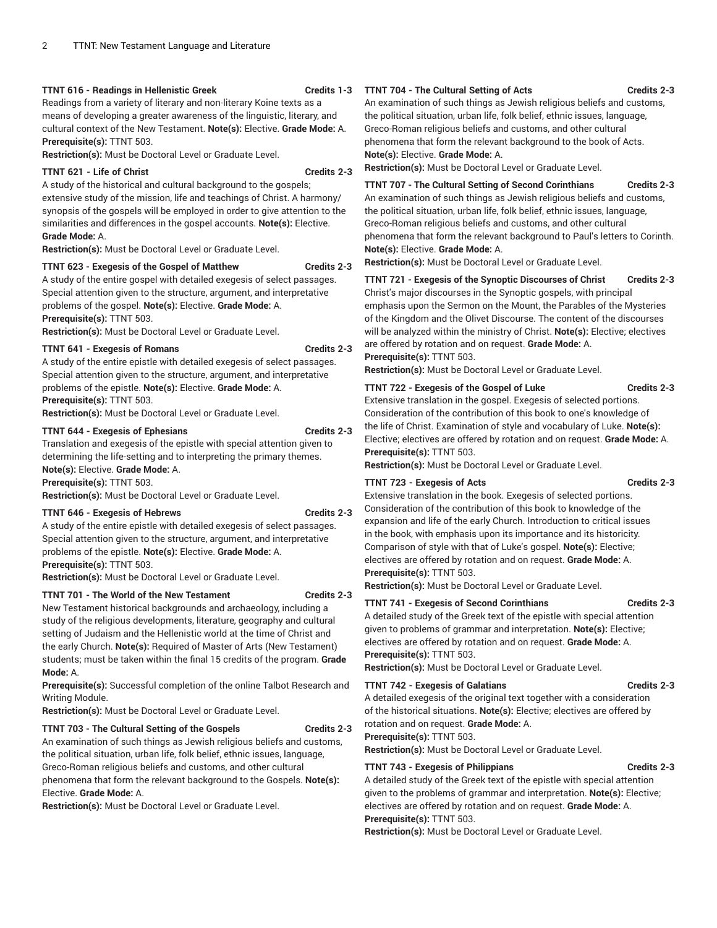#### **TTNT 616 - Readings in Hellenistic Greek Credits 1-3**

Readings from a variety of literary and non-literary Koine texts as a means of developing a greater awareness of the linguistic, literary, and cultural context of the New Testament. **Note(s):** Elective. **Grade Mode:** A. **Prerequisite(s):** TTNT 503.

**Restriction(s):** Must be Doctoral Level or Graduate Level.

#### **TTNT 621 - Life of Christ Credits 2-3**

A study of the historical and cultural background to the gospels; extensive study of the mission, life and teachings of Christ. A harmony/ synopsis of the gospels will be employed in order to give attention to the similarities and differences in the gospel accounts. **Note(s):** Elective. **Grade Mode:** A.

**Restriction(s):** Must be Doctoral Level or Graduate Level.

#### **TTNT 623 - Exegesis of the Gospel of Matthew Credits 2-3**

A study of the entire gospel with detailed exegesis of select passages. Special attention given to the structure, argument, and interpretative problems of the gospel. **Note(s):** Elective. **Grade Mode:** A. **Prerequisite(s):** TTNT 503.

**Restriction(s):** Must be Doctoral Level or Graduate Level.

#### **TTNT 641 - Exegesis of Romans Credits 2-3**

A study of the entire epistle with detailed exegesis of select passages. Special attention given to the structure, argument, and interpretative problems of the epistle. **Note(s):** Elective. **Grade Mode:** A. **Prerequisite(s):** TTNT 503.

**Restriction(s):** Must be Doctoral Level or Graduate Level.

#### **TTNT 644 - Exegesis of Ephesians Credits 2-3**

Translation and exegesis of the epistle with special attention given to determining the life-setting and to interpreting the primary themes. **Note(s):** Elective. **Grade Mode:** A. **Prerequisite(s):** TTNT 503.

**Restriction(s):** Must be Doctoral Level or Graduate Level.

#### **TTNT 646 - Exegesis of Hebrews Credits 2-3**

A study of the entire epistle with detailed exegesis of select passages. Special attention given to the structure, argument, and interpretative problems of the epistle. **Note(s):** Elective. **Grade Mode:** A. **Prerequisite(s):** TTNT 503.

**Restriction(s):** Must be Doctoral Level or Graduate Level.

**TTNT 701 - The World of the New Testament Credits 2-3**

New Testament historical backgrounds and archaeology, including a study of the religious developments, literature, geography and cultural setting of Judaism and the Hellenistic world at the time of Christ and the early Church. **Note(s):** Required of Master of Arts (New Testament) students; must be taken within the final 15 credits of the program. **Grade Mode:** A.

**Prerequisite(s):** Successful completion of the online Talbot Research and Writing Module.

**Restriction(s):** Must be Doctoral Level or Graduate Level.

#### **TTNT 703 - The Cultural Setting of the Gospels Credits 2-3**

An examination of such things as Jewish religious beliefs and customs, the political situation, urban life, folk belief, ethnic issues, language, Greco-Roman religious beliefs and customs, and other cultural phenomena that form the relevant background to the Gospels. **Note(s):** Elective. **Grade Mode:** A.

**Restriction(s):** Must be Doctoral Level or Graduate Level.

### **TTNT 704 - The Cultural Setting of Acts Credits 2-3**

An examination of such things as Jewish religious beliefs and customs, the political situation, urban life, folk belief, ethnic issues, language, Greco-Roman religious beliefs and customs, and other cultural phenomena that form the relevant background to the book of Acts. **Note(s):** Elective. **Grade Mode:** A.

**Restriction(s):** Must be Doctoral Level or Graduate Level.

**TTNT 707 - The Cultural Setting of Second Corinthians Credits 2-3** An examination of such things as Jewish religious beliefs and customs, the political situation, urban life, folk belief, ethnic issues, language, Greco-Roman religious beliefs and customs, and other cultural phenomena that form the relevant background to Paul's letters to Corinth. **Note(s):** Elective. **Grade Mode:** A.

**Restriction(s):** Must be Doctoral Level or Graduate Level.

**TTNT 721 - Exegesis of the Synoptic Discourses of Christ Credits 2-3** Christ's major discourses in the Synoptic gospels, with principal emphasis upon the Sermon on the Mount, the Parables of the Mysteries of the Kingdom and the Olivet Discourse. The content of the discourses will be analyzed within the ministry of Christ. **Note(s):** Elective; electives are offered by rotation and on request. **Grade Mode:** A. **Prerequisite(s):** TTNT 503.

**Restriction(s):** Must be Doctoral Level or Graduate Level.

#### **TTNT 722 - Exegesis of the Gospel of Luke Credits 2-3**

Extensive translation in the gospel. Exegesis of selected portions. Consideration of the contribution of this book to one's knowledge of the life of Christ. Examination of style and vocabulary of Luke. **Note(s):** Elective; electives are offered by rotation and on request. **Grade Mode:** A. **Prerequisite(s):** TTNT 503.

**Restriction(s):** Must be Doctoral Level or Graduate Level.

#### **TTNT 723 - Exegesis of Acts Credits 2-3**

Extensive translation in the book. Exegesis of selected portions. Consideration of the contribution of this book to knowledge of the expansion and life of the early Church. Introduction to critical issues in the book, with emphasis upon its importance and its historicity. Comparison of style with that of Luke's gospel. **Note(s):** Elective; electives are offered by rotation and on request. **Grade Mode:** A. **Prerequisite(s):** TTNT 503.

**Restriction(s):** Must be Doctoral Level or Graduate Level.

### **TTNT 741 - Exegesis of Second Corinthians Credits 2-3**

A detailed study of the Greek text of the epistle with special attention given to problems of grammar and interpretation. **Note(s):** Elective; electives are offered by rotation and on request. **Grade Mode:** A. **Prerequisite(s):** TTNT 503.

**Restriction(s):** Must be Doctoral Level or Graduate Level.

#### **TTNT 742 - Exegesis of Galatians Credits 2-3**

A detailed exegesis of the original text together with a consideration of the historical situations. **Note(s):** Elective; electives are offered by

rotation and on request. **Grade Mode:** A.

**Prerequisite(s):** TTNT 503.

**Restriction(s):** Must be Doctoral Level or Graduate Level.

#### **TTNT 743 - Exegesis of Philippians Credits 2-3**

A detailed study of the Greek text of the epistle with special attention given to the problems of grammar and interpretation. **Note(s):** Elective; electives are offered by rotation and on request. **Grade Mode:** A. **Prerequisite(s):** TTNT 503.

**Restriction(s):** Must be Doctoral Level or Graduate Level.